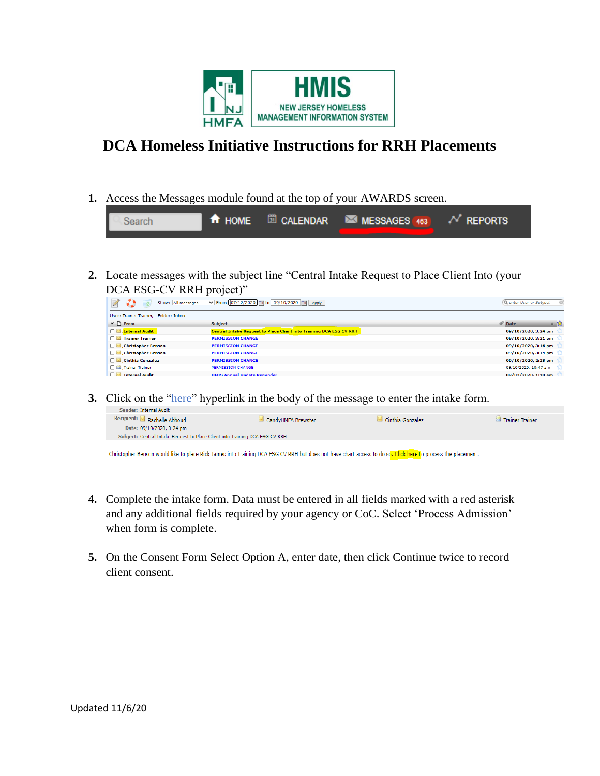

## **DCA Homeless Initiative Instructions for RRH Placements**

**1.** Access the Messages module found at the top of your AWARDS screen.

| Search |  | <b>T</b> HOME <b>D</b> CALENDAR <b>MESSAGES</b> $463$ $N$ REPORTS |  |
|--------|--|-------------------------------------------------------------------|--|
|        |  |                                                                   |  |

**2.** Locate messages with the subject line "Central Intake Request to Place Client Into (your DCA ESG-CV RRH project)"

| Show: All messages                   | V From 07/12/2020 a to 09/10/2020 a Apply                                  | Q enter User or Subject    |
|--------------------------------------|----------------------------------------------------------------------------|----------------------------|
| User: Trainer Trainer, Folder: Inbox |                                                                            |                            |
| $V \cap$ From                        | <b>Subject</b>                                                             | <b><i>C</i></b> Date<br>▲☆ |
| Internal Audit                       | <b>Central Intake Request to Place Client into Training DCA ESG CV RRH</b> | 09/10/2020, 3:24 pm        |
| Trainer Trainer                      | <b>PERMISSION CHANGE</b>                                                   | 09/10/2020, 3:21 pm        |
| Christopher Benson                   | <b>PERMISSION CHANGE</b>                                                   | 09/10/2020, 3:16 pm        |
| Christopher Benson                   | <b>PERMISSION CHANGE</b>                                                   | 09/10/2020, 3:14 pm        |
| <b>Cinthia Gonzalez</b>              | <b>PERMISSION CHANGE</b>                                                   | 09/10/2020, 2:28 pm        |
| Trainer Trainer                      | PERMISSION CHANGE                                                          | 09/10/2020, 10:47 am       |
| <b>DI</b><br><b>Internal Audit</b>   | <b>HMIS Annual Undate Reminder</b>                                         | $00/02/2020$ , 1:10 am     |

**3.** Click on the "here" hyperlink in the body of the message to enter the intake form.

| Sender: Internal Audit                                                       |                    |                  |                 |
|------------------------------------------------------------------------------|--------------------|------------------|-----------------|
| Recipient: <b>■</b> Rachelle Abboud                                          | CandvHMFA Brewster | Cinthia Gonzalez | Trainer Trainer |
| Date: 09/10/2020, 3:24 pm                                                    |                    |                  |                 |
| Subject: Central Intake Request to Place Client into Training DCA ESG CV RRH |                    |                  |                 |
|                                                                              |                    |                  |                 |

Christopher Benson would like to place Rick James into Training DCA ESG CV RRH but does not have chart access to do so<mark>. Click here t</mark>o process the placement.

- **4.** Complete the intake form. Data must be entered in all fields marked with a red asterisk and any additional fields required by your agency or CoC. Select 'Process Admission' when form is complete.
- **5.** On the Consent Form Select Option A, enter date, then click Continue twice to record client consent.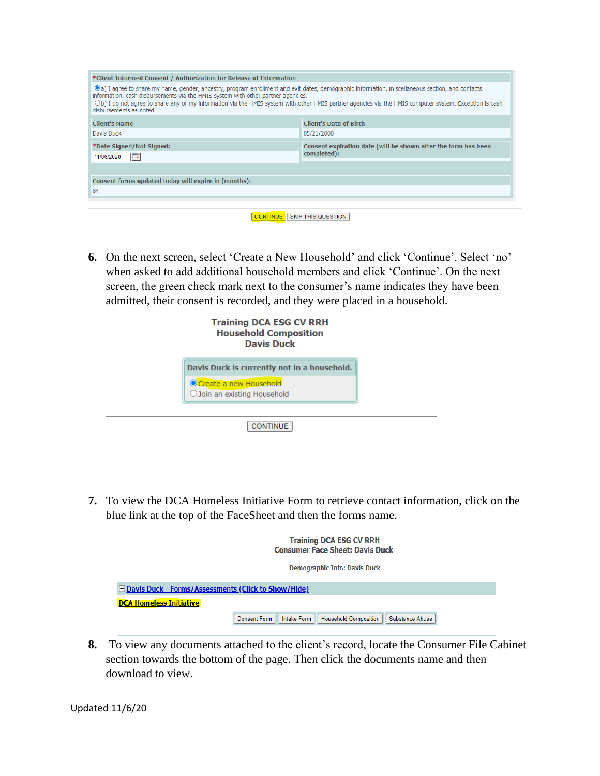| *Client Informed Consent / Authorization for Release of Information                                                                                                                                                                                                                                                                                                                                                                |                                                                               |
|------------------------------------------------------------------------------------------------------------------------------------------------------------------------------------------------------------------------------------------------------------------------------------------------------------------------------------------------------------------------------------------------------------------------------------|-------------------------------------------------------------------------------|
| (a) I agree to share my name, gender, ancestry, program enrollment and exit dates, demographic information, miscellaneous section, and contacts<br>information, cash disbursements via the HMIS system with other partner agencies.<br>$\bigcirc$ b) I do not agree to share any of my information via the HMIS system with other HMIS partner agencies via the HMIS computer system. Exception is cash<br>disbursements as noted. |                                                                               |
| <b>Client's Name</b>                                                                                                                                                                                                                                                                                                                                                                                                               | <b>Client's Date of Birth</b>                                                 |
| Davis Duck                                                                                                                                                                                                                                                                                                                                                                                                                         | 05/21/2000                                                                    |
| *Date Signed/Not Signed:<br>11/06/2020<br>$\blacksquare$                                                                                                                                                                                                                                                                                                                                                                           | Consent expiration date (will be shown after the form has been<br>completed): |
|                                                                                                                                                                                                                                                                                                                                                                                                                                    |                                                                               |
| Consent forms updated today will expire in (months):                                                                                                                                                                                                                                                                                                                                                                               |                                                                               |
| 84                                                                                                                                                                                                                                                                                                                                                                                                                                 |                                                                               |
|                                                                                                                                                                                                                                                                                                                                                                                                                                    |                                                                               |

| <b>CONTINUE</b> SKIP THIS QUESTION |
|------------------------------------|

**6.** On the next screen, select 'Create a New Household' and click 'Continue'. Select 'no' when asked to add additional household members and click 'Continue'. On the next screen, the green check mark next to the consumer's name indicates they have been admitted, their consent is recorded, and they were placed in a household.

| <b>Training DCA ESG CV RRH</b><br><b>Household Composition</b><br><b>Davis Duck</b> |  |
|-------------------------------------------------------------------------------------|--|
| Davis Duck is currently not in a household.                                         |  |
| Create a new Household<br>O Join an existing Household                              |  |
| <b>CONTINUE</b>                                                                     |  |

**7.** To view the DCA Homeless Initiative Form to retrieve contact information, click on the blue link at the top of the FaceSheet and then the forms name.

|                                                              |  | <b>Training DCA ESG CV RRH</b><br><b>Consumer Face Sheet: Davis Duck</b>   |  |
|--------------------------------------------------------------|--|----------------------------------------------------------------------------|--|
|                                                              |  | <b>Demographic Info: Davis Duck</b>                                        |  |
| <b>E</b> Davis Duck - Forms/Assessments (Click to Show/Hide) |  |                                                                            |  |
| <b>DCA Homeless Initiative</b>                               |  |                                                                            |  |
|                                                              |  | Consent Form     Intake Form     Household Composition     Substance Abuse |  |

**8.** To view any documents attached to the client's record, locate the Consumer File Cabinet section towards the bottom of the page. Then click the documents name and then download to view.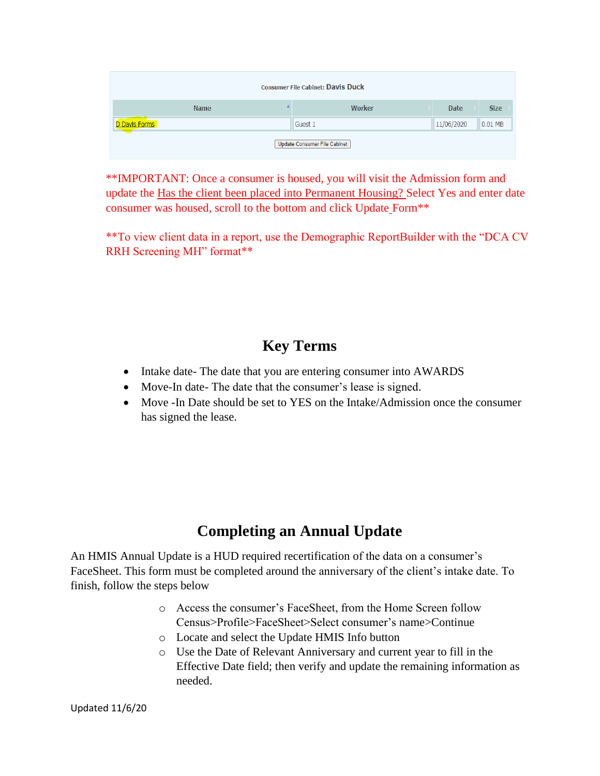|               |             | <b>Consumer File Cabinet: Davis Duck</b> |             |             |
|---------------|-------------|------------------------------------------|-------------|-------------|
|               | <b>Name</b> | <b>Worker</b>                            | <b>Date</b> | <b>Size</b> |
| D Davis Forms |             | Guest 1                                  | 11/06/2020  | 0.01 MB     |
|               |             | Update Consumer File Cabinet             |             |             |

\*\*IMPORTANT: Once a consumer is housed, you will visit the Admission form and update the Has the client been placed into Permanent Housing? Select Yes and enter date consumer was housed, scroll to the bottom and click Update Form\*\*

\*\*To view client data in a report, use the Demographic ReportBuilder with the "DCA CV RRH Screening MH" format\*\*

## **Key Terms**

- Intake date- The date that you are entering consumer into AWARDS
- Move-In date- The date that the consumer's lease is signed.
- Move -In Date should be set to YES on the Intake/Admission once the consumer has signed the lease.

## **Completing an Annual Update**

An HMIS Annual Update is a HUD required recertification of the data on a consumer's FaceSheet. This form must be completed around the anniversary of the client's intake date. To finish, follow the steps below

- o Access the consumer's FaceSheet, from the Home Screen follow Census>Profile>FaceSheet>Select consumer's name>Continue
- o Locate and select the Update HMIS Info button
- o Use the Date of Relevant Anniversary and current year to fill in the Effective Date field; then verify and update the remaining information as needed.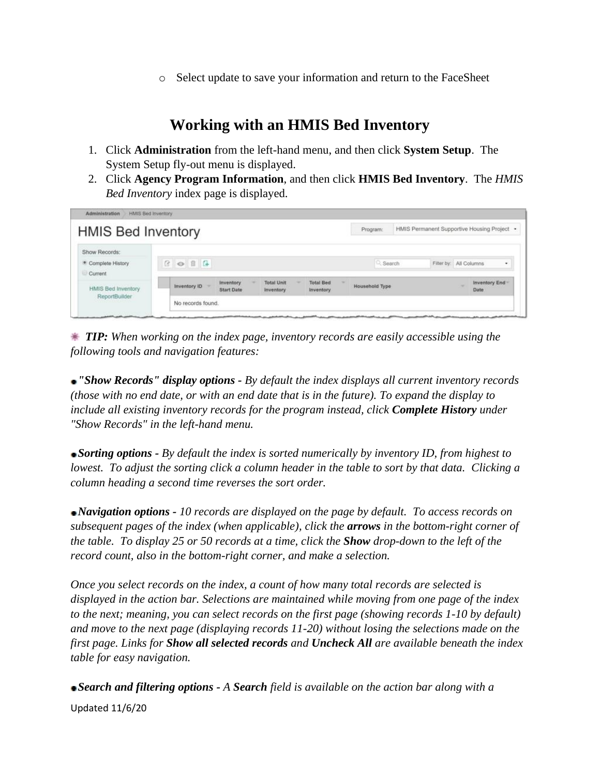o Select update to save your information and return to the FaceSheet

## **Working with an HMIS Bed Inventory**

- 1. Click **Administration** from the left-hand menu, and then click **System Setup**. The System Setup fly-out menu is displayed.
- 2. Click **Agency Program Information**, and then click **HMIS Bed Inventory**. The *HMIS Bed Inventory* index page is displayed.

| <b>HMIS Bed Inventory</b>                      |                      |                                |                                |                                             | Program:              | HMIS Permanent Supportive Housing Project . |                       |
|------------------------------------------------|----------------------|--------------------------------|--------------------------------|---------------------------------------------|-----------------------|---------------------------------------------|-----------------------|
| Show Records:<br>· Complete History<br>Current | $B$ $\Theta$ $B$ $A$ |                                |                                |                                             |                       | 2. Search<br>Filter by: All Columns         | ٠                     |
| <b>HMIS Bed Inventory</b>                      | Inventory ID         | Inventory<br><b>Start Date</b> | <b>Total Unit</b><br>Inventory | <b>Total Bed</b><br><i><b>Inventory</b></i> | <b>Household Type</b> |                                             | Inventory End<br>Date |
| ReportBuilder                                  | No records found.    |                                |                                |                                             |                       |                                             |                       |

 *TIP: When working on the index page, inventory records are easily accessible using the following tools and navigation features:*

*"Show Records" display options - By default the index displays all current inventory records (those with no end date, or with an end date that is in the future). To expand the display to include all existing inventory records for the program instead, click Complete History under "Show Records" in the left-hand menu.*

*Sorting options - By default the index is sorted numerically by inventory ID, from highest to lowest. To adjust the sorting click a column header in the table to sort by that data. Clicking a column heading a second time reverses the sort order.*

*Navigation options - 10 records are displayed on the page by default. To access records on subsequent pages of the index (when applicable), click the arrows in the bottom-right corner of the table. To display 25 or 50 records at a time, click the Show drop-down to the left of the record count, also in the bottom-right corner, and make a selection.*

*Once you select records on the index, a count of how many total records are selected is displayed in the action bar. Selections are maintained while moving from one page of the index to the next; meaning, you can select records on the first page (showing records 1-10 by default) and move to the next page (displaying records 11-20) without losing the selections made on the first page. Links for Show all selected records and Uncheck All are available beneath the index table for easy navigation.*

Updated 11/6/20 *Search and filtering options - A Search field is available on the action bar along with a*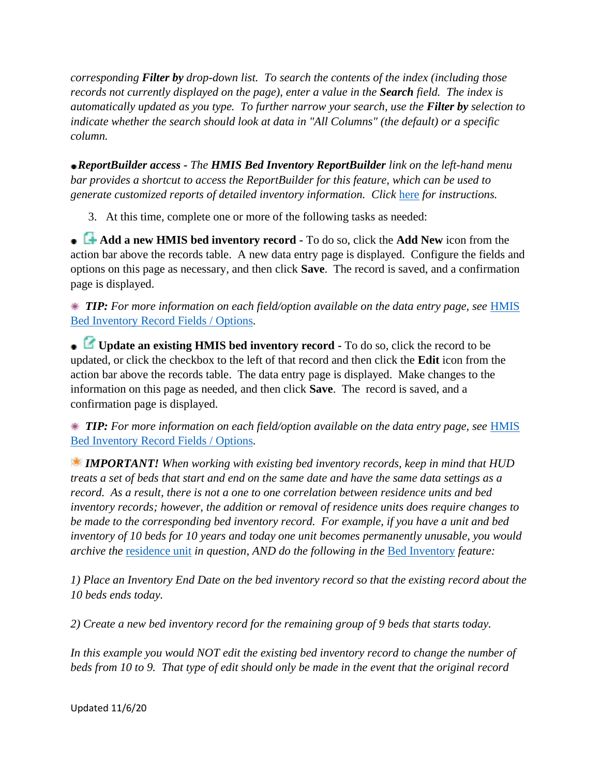*corresponding Filter by drop-down list. To search the contents of the index (including those records not currently displayed on the page), enter a value in the Search field. The index is automatically updated as you type. To further narrow your search, use the Filter by selection to indicate whether the search should look at data in "All Columns" (the default) or a specific column.*

*ReportBuilder access - The HMIS Bed Inventory ReportBuilder link on the left-hand menu bar provides a shortcut to access the ReportBuilder for this feature, which can be used to generate customized reports of detailed inventory information. Click* [here](https://demodb.footholdtechnology.com/help/UsingTheHMISBedInventoryReportBuilder.html) *for instructions.*

3. At this time, complete one or more of the following tasks as needed:

**Add a new HMIS bed inventory record -** To do so, click the **Add New** icon from the action bar above the records table. A new data entry page is displayed. Configure the fields and options on this page as necessary, and then click **Save**. The record is saved, and a confirmation page is displayed.

 *TIP: For more information on each field/option available on the data entry page, see* [HMIS](https://demodb.footholdtechnology.com/help/-HMISBedInventoryFieldsOptions.html)  [Bed Inventory Record Fields / Options](https://demodb.footholdtechnology.com/help/-HMISBedInventoryFieldsOptions.html)*.*

**Update an existing HMIS bed inventory record -** To do so, click the record to be updated, or click the checkbox to the left of that record and then click the **Edit** icon from the action bar above the records table. The data entry page is displayed. Make changes to the information on this page as needed, and then click **Save**. The record is saved, and a confirmation page is displayed.

 *TIP: For more information on each field/option available on the data entry page, see* [HMIS](https://demodb.footholdtechnology.com/help/-HMISBedInventoryFieldsOptions.html)  [Bed Inventory Record Fields / Options](https://demodb.footholdtechnology.com/help/-HMISBedInventoryFieldsOptions.html)*.*

*IMPORTANT! When working with existing bed inventory records, keep in mind that HUD treats a set of beds that start and end on the same date and have the same data settings as a record. As a result, there is not a one to one correlation between residence units and bed inventory records; however, the addition or removal of residence units does require changes to be made to the corresponding bed inventory record. For example, if you have a unit and bed inventory of 10 beds for 10 years and today one unit becomes permanently unusable, you would archive the* [residence unit](https://demodb.footholdtechnology.com/help/RESIDENCEUNITS.html) *in question, AND do the following in the* [Bed Inventory](https://demodb.footholdtechnology.com/help/HMISBEDINVENTORY.html) *feature:*

*1) Place an Inventory End Date on the bed inventory record so that the existing record about the 10 beds ends today.*

*2) Create a new bed inventory record for the remaining group of 9 beds that starts today.*

*In this example you would NOT edit the existing bed inventory record to change the number of beds from 10 to 9. That type of edit should only be made in the event that the original record* 

Updated 11/6/20